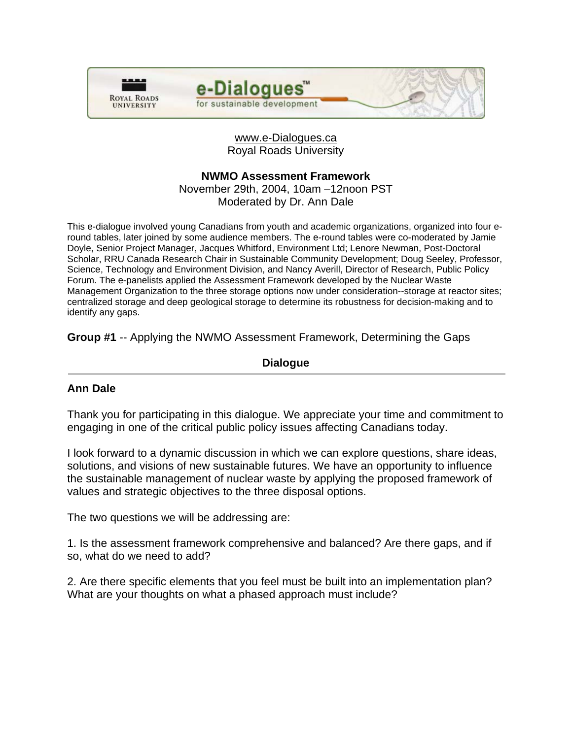



## www.e-Dialogues.ca Royal Roads University

## **NWMO Assessment Framework**

November 29th, 2004, 10am –12noon PST Moderated by Dr. Ann Dale

This e-dialogue involved young Canadians from youth and academic organizations, organized into four eround tables, later joined by some audience members. The e-round tables were co-moderated by Jamie Doyle, Senior Project Manager, Jacques Whitford, Environment Ltd; Lenore Newman, Post-Doctoral Scholar, RRU Canada Research Chair in Sustainable Community Development; Doug Seeley, Professor, Science, Technology and Environment Division, and Nancy Averill, Director of Research, Public Policy Forum. The e-panelists applied the Assessment Framework developed by the Nuclear Waste Management Organization to the three storage options now under consideration--storage at reactor sites; centralized storage and deep geological storage to determine its robustness for decision-making and to identify any gaps.

**Group #1** -- Applying the NWMO Assessment Framework, Determining the Gaps

## **Dialogue**

## **Ann Dale**

Thank you for participating in this dialogue. We appreciate your time and commitment to engaging in one of the critical public policy issues affecting Canadians today.

I look forward to a dynamic discussion in which we can explore questions, share ideas, solutions, and visions of new sustainable futures. We have an opportunity to influence the sustainable management of nuclear waste by applying the proposed framework of values and strategic objectives to the three disposal options.

The two questions we will be addressing are:

1. Is the assessment framework comprehensive and balanced? Are there gaps, and if so, what do we need to add?

2. Are there specific elements that you feel must be built into an implementation plan? What are your thoughts on what a phased approach must include?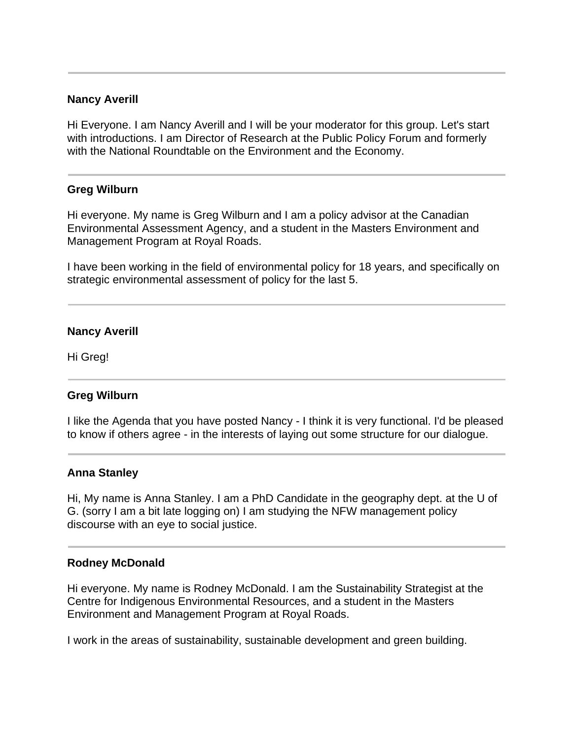### **Nancy Averill**

Hi Everyone. I am Nancy Averill and I will be your moderator for this group. Let's start with introductions. I am Director of Research at the Public Policy Forum and formerly with the National Roundtable on the Environment and the Economy.

#### **Greg Wilburn**

Hi everyone. My name is Greg Wilburn and I am a policy advisor at the Canadian Environmental Assessment Agency, and a student in the Masters Environment and Management Program at Royal Roads.

I have been working in the field of environmental policy for 18 years, and specifically on strategic environmental assessment of policy for the last 5.

### **Nancy Averill**

Hi Greg!

## **Greg Wilburn**

I like the Agenda that you have posted Nancy - I think it is very functional. I'd be pleased to know if others agree - in the interests of laying out some structure for our dialogue.

#### **Anna Stanley**

Hi, My name is Anna Stanley. I am a PhD Candidate in the geography dept. at the U of G. (sorry I am a bit late logging on) I am studying the NFW management policy discourse with an eye to social justice.

#### **Rodney McDonald**

Hi everyone. My name is Rodney McDonald. I am the Sustainability Strategist at the Centre for Indigenous Environmental Resources, and a student in the Masters Environment and Management Program at Royal Roads.

I work in the areas of sustainability, sustainable development and green building.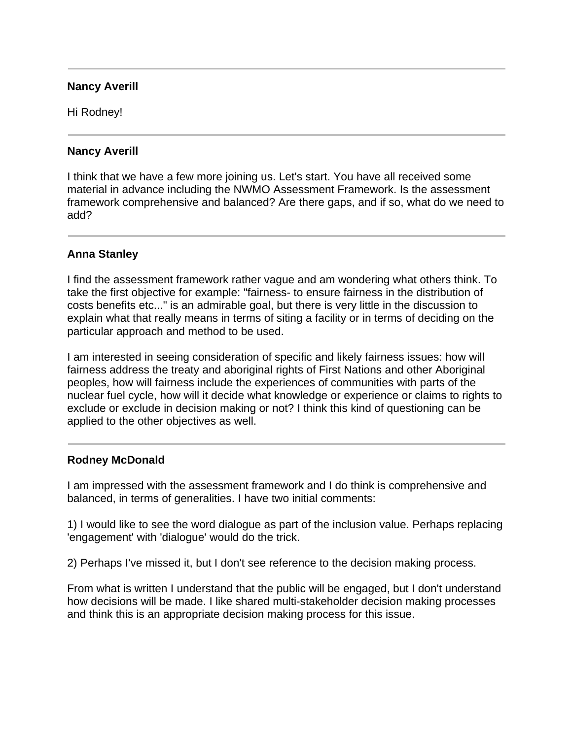### **Nancy Averill**

Hi Rodney!

### **Nancy Averill**

I think that we have a few more joining us. Let's start. You have all received some material in advance including the NWMO Assessment Framework. Is the assessment framework comprehensive and balanced? Are there gaps, and if so, what do we need to add?

## **Anna Stanley**

I find the assessment framework rather vague and am wondering what others think. To take the first objective for example: "fairness- to ensure fairness in the distribution of costs benefits etc..." is an admirable goal, but there is very little in the discussion to explain what that really means in terms of siting a facility or in terms of deciding on the particular approach and method to be used.

I am interested in seeing consideration of specific and likely fairness issues: how will fairness address the treaty and aboriginal rights of First Nations and other Aboriginal peoples, how will fairness include the experiences of communities with parts of the nuclear fuel cycle, how will it decide what knowledge or experience or claims to rights to exclude or exclude in decision making or not? I think this kind of questioning can be applied to the other objectives as well.

## **Rodney McDonald**

I am impressed with the assessment framework and I do think is comprehensive and balanced, in terms of generalities. I have two initial comments:

1) I would like to see the word dialogue as part of the inclusion value. Perhaps replacing 'engagement' with 'dialogue' would do the trick.

2) Perhaps I've missed it, but I don't see reference to the decision making process.

From what is written I understand that the public will be engaged, but I don't understand how decisions will be made. I like shared multi-stakeholder decision making processes and think this is an appropriate decision making process for this issue.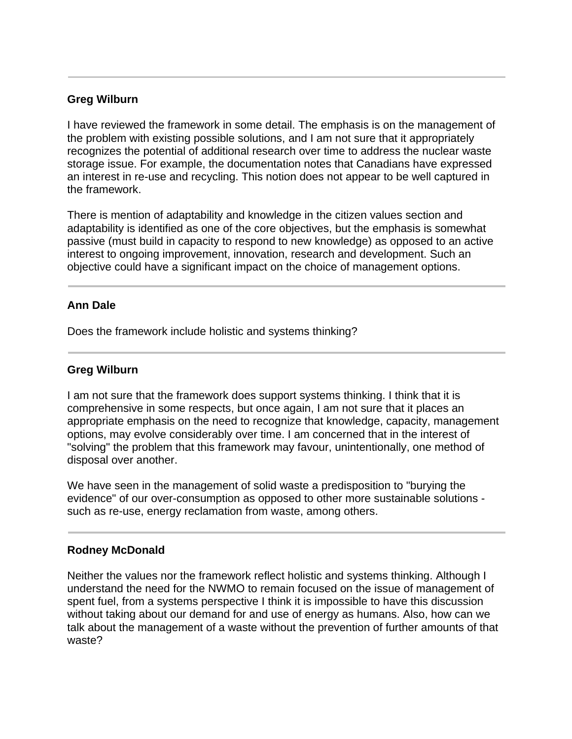## **Greg Wilburn**

I have reviewed the framework in some detail. The emphasis is on the management of the problem with existing possible solutions, and I am not sure that it appropriately recognizes the potential of additional research over time to address the nuclear waste storage issue. For example, the documentation notes that Canadians have expressed an interest in re-use and recycling. This notion does not appear to be well captured in the framework.

There is mention of adaptability and knowledge in the citizen values section and adaptability is identified as one of the core objectives, but the emphasis is somewhat passive (must build in capacity to respond to new knowledge) as opposed to an active interest to ongoing improvement, innovation, research and development. Such an objective could have a significant impact on the choice of management options.

## **Ann Dale**

Does the framework include holistic and systems thinking?

## **Greg Wilburn**

I am not sure that the framework does support systems thinking. I think that it is comprehensive in some respects, but once again, I am not sure that it places an appropriate emphasis on the need to recognize that knowledge, capacity, management options, may evolve considerably over time. I am concerned that in the interest of "solving" the problem that this framework may favour, unintentionally, one method of disposal over another.

We have seen in the management of solid waste a predisposition to "burying the evidence" of our over-consumption as opposed to other more sustainable solutions such as re-use, energy reclamation from waste, among others.

## **Rodney McDonald**

Neither the values nor the framework reflect holistic and systems thinking. Although I understand the need for the NWMO to remain focused on the issue of management of spent fuel, from a systems perspective I think it is impossible to have this discussion without taking about our demand for and use of energy as humans. Also, how can we talk about the management of a waste without the prevention of further amounts of that waste?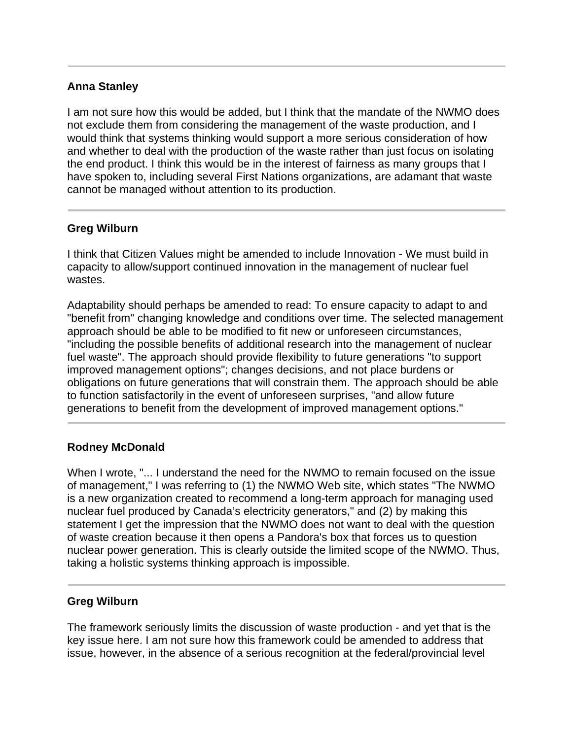# **Anna Stanley**

I am not sure how this would be added, but I think that the mandate of the NWMO does not exclude them from considering the management of the waste production, and I would think that systems thinking would support a more serious consideration of how and whether to deal with the production of the waste rather than just focus on isolating the end product. I think this would be in the interest of fairness as many groups that I have spoken to, including several First Nations organizations, are adamant that waste cannot be managed without attention to its production.

## **Greg Wilburn**

I think that Citizen Values might be amended to include Innovation - We must build in capacity to allow/support continued innovation in the management of nuclear fuel wastes.

Adaptability should perhaps be amended to read: To ensure capacity to adapt to and "benefit from" changing knowledge and conditions over time. The selected management approach should be able to be modified to fit new or unforeseen circumstances, "including the possible benefits of additional research into the management of nuclear fuel waste". The approach should provide flexibility to future generations "to support improved management options"; changes decisions, and not place burdens or obligations on future generations that will constrain them. The approach should be able to function satisfactorily in the event of unforeseen surprises, "and allow future generations to benefit from the development of improved management options."

# **Rodney McDonald**

When I wrote, "... I understand the need for the NWMO to remain focused on the issue of management," I was referring to (1) the NWMO Web site, which states "The NWMO is a new organization created to recommend a long-term approach for managing used nuclear fuel produced by Canada's electricity generators," and (2) by making this statement I get the impression that the NWMO does not want to deal with the question of waste creation because it then opens a Pandora's box that forces us to question nuclear power generation. This is clearly outside the limited scope of the NWMO. Thus, taking a holistic systems thinking approach is impossible.

## **Greg Wilburn**

The framework seriously limits the discussion of waste production - and yet that is the key issue here. I am not sure how this framework could be amended to address that issue, however, in the absence of a serious recognition at the federal/provincial level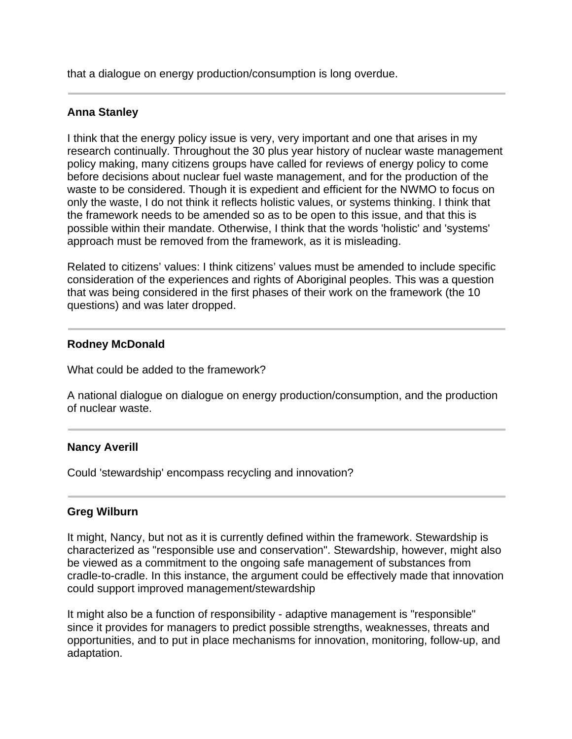that a dialogue on energy production/consumption is long overdue.

### **Anna Stanley**

I think that the energy policy issue is very, very important and one that arises in my research continually. Throughout the 30 plus year history of nuclear waste management policy making, many citizens groups have called for reviews of energy policy to come before decisions about nuclear fuel waste management, and for the production of the waste to be considered. Though it is expedient and efficient for the NWMO to focus on only the waste, I do not think it reflects holistic values, or systems thinking. I think that the framework needs to be amended so as to be open to this issue, and that this is possible within their mandate. Otherwise, I think that the words 'holistic' and 'systems' approach must be removed from the framework, as it is misleading.

Related to citizens' values: I think citizens' values must be amended to include specific consideration of the experiences and rights of Aboriginal peoples. This was a question that was being considered in the first phases of their work on the framework (the 10 questions) and was later dropped.

### **Rodney McDonald**

What could be added to the framework?

A national dialogue on dialogue on energy production/consumption, and the production of nuclear waste.

#### **Nancy Averill**

Could 'stewardship' encompass recycling and innovation?

#### **Greg Wilburn**

It might, Nancy, but not as it is currently defined within the framework. Stewardship is characterized as "responsible use and conservation". Stewardship, however, might also be viewed as a commitment to the ongoing safe management of substances from cradle-to-cradle. In this instance, the argument could be effectively made that innovation could support improved management/stewardship

It might also be a function of responsibility - adaptive management is "responsible" since it provides for managers to predict possible strengths, weaknesses, threats and opportunities, and to put in place mechanisms for innovation, monitoring, follow-up, and adaptation.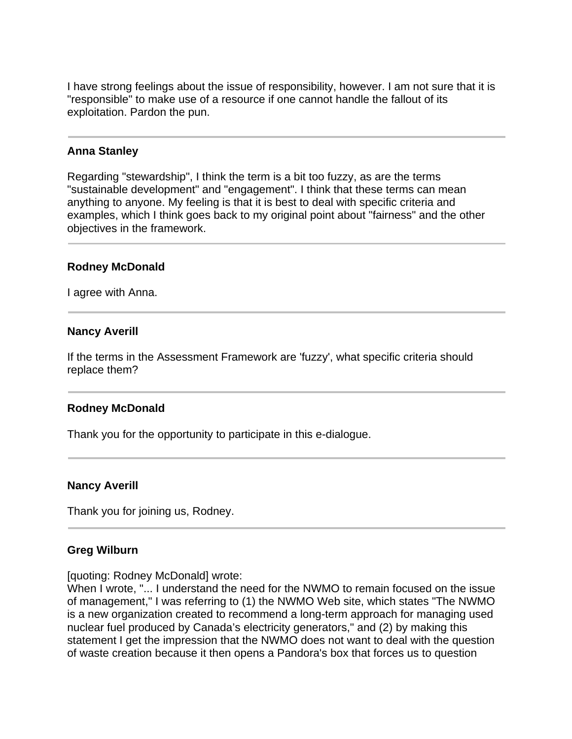I have strong feelings about the issue of responsibility, however. I am not sure that it is "responsible" to make use of a resource if one cannot handle the fallout of its exploitation. Pardon the pun.

### **Anna Stanley**

Regarding "stewardship", I think the term is a bit too fuzzy, as are the terms "sustainable development" and "engagement". I think that these terms can mean anything to anyone. My feeling is that it is best to deal with specific criteria and examples, which I think goes back to my original point about "fairness" and the other objectives in the framework.

### **Rodney McDonald**

I agree with Anna.

### **Nancy Averill**

If the terms in the Assessment Framework are 'fuzzy', what specific criteria should replace them?

#### **Rodney McDonald**

Thank you for the opportunity to participate in this e-dialogue.

#### **Nancy Averill**

Thank you for joining us, Rodney.

## **Greg Wilburn**

[quoting: Rodney McDonald] wrote:

When I wrote, "... I understand the need for the NWMO to remain focused on the issue of management," I was referring to (1) the NWMO Web site, which states "The NWMO is a new organization created to recommend a long-term approach for managing used nuclear fuel produced by Canada's electricity generators," and (2) by making this statement I get the impression that the NWMO does not want to deal with the question of waste creation because it then opens a Pandora's box that forces us to question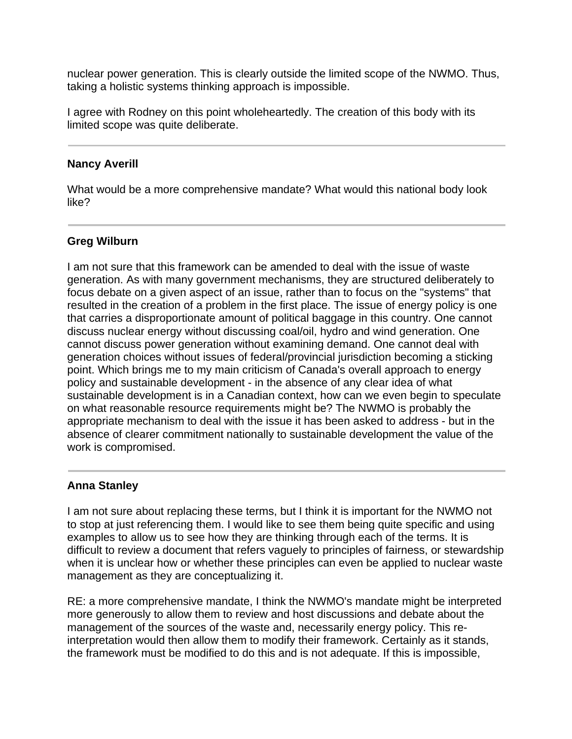nuclear power generation. This is clearly outside the limited scope of the NWMO. Thus, taking a holistic systems thinking approach is impossible.

I agree with Rodney on this point wholeheartedly. The creation of this body with its limited scope was quite deliberate.

### **Nancy Averill**

What would be a more comprehensive mandate? What would this national body look like?

## **Greg Wilburn**

I am not sure that this framework can be amended to deal with the issue of waste generation. As with many government mechanisms, they are structured deliberately to focus debate on a given aspect of an issue, rather than to focus on the "systems" that resulted in the creation of a problem in the first place. The issue of energy policy is one that carries a disproportionate amount of political baggage in this country. One cannot discuss nuclear energy without discussing coal/oil, hydro and wind generation. One cannot discuss power generation without examining demand. One cannot deal with generation choices without issues of federal/provincial jurisdiction becoming a sticking point. Which brings me to my main criticism of Canada's overall approach to energy policy and sustainable development - in the absence of any clear idea of what sustainable development is in a Canadian context, how can we even begin to speculate on what reasonable resource requirements might be? The NWMO is probably the appropriate mechanism to deal with the issue it has been asked to address - but in the absence of clearer commitment nationally to sustainable development the value of the work is compromised.

## **Anna Stanley**

I am not sure about replacing these terms, but I think it is important for the NWMO not to stop at just referencing them. I would like to see them being quite specific and using examples to allow us to see how they are thinking through each of the terms. It is difficult to review a document that refers vaguely to principles of fairness, or stewardship when it is unclear how or whether these principles can even be applied to nuclear waste management as they are conceptualizing it.

RE: a more comprehensive mandate, I think the NWMO's mandate might be interpreted more generously to allow them to review and host discussions and debate about the management of the sources of the waste and, necessarily energy policy. This reinterpretation would then allow them to modify their framework. Certainly as it stands, the framework must be modified to do this and is not adequate. If this is impossible,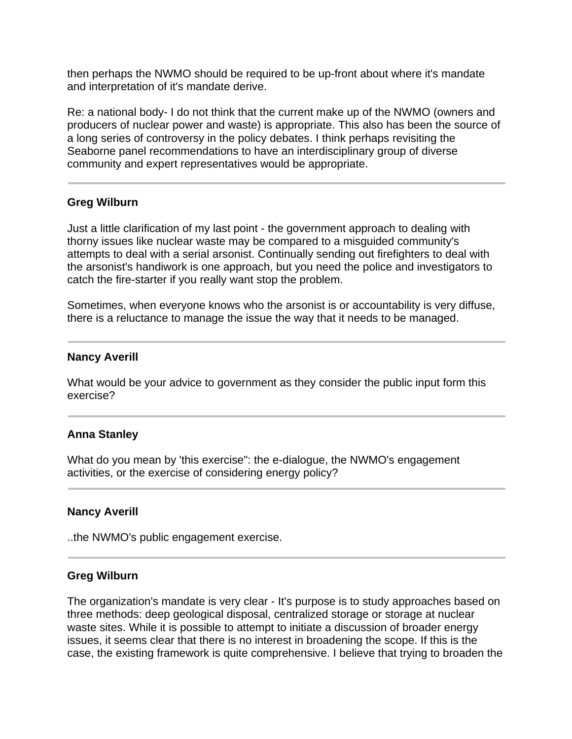then perhaps the NWMO should be required to be up-front about where it's mandate and interpretation of it's mandate derive.

Re: a national body- I do not think that the current make up of the NWMO (owners and producers of nuclear power and waste) is appropriate. This also has been the source of a long series of controversy in the policy debates. I think perhaps revisiting the Seaborne panel recommendations to have an interdisciplinary group of diverse community and expert representatives would be appropriate.

### **Greg Wilburn**

Just a little clarification of my last point - the government approach to dealing with thorny issues like nuclear waste may be compared to a misguided community's attempts to deal with a serial arsonist. Continually sending out firefighters to deal with the arsonist's handiwork is one approach, but you need the police and investigators to catch the fire-starter if you really want stop the problem.

Sometimes, when everyone knows who the arsonist is or accountability is very diffuse, there is a reluctance to manage the issue the way that it needs to be managed.

### **Nancy Averill**

What would be your advice to government as they consider the public input form this exercise?

#### **Anna Stanley**

What do you mean by 'this exercise": the e-dialogue, the NWMO's engagement activities, or the exercise of considering energy policy?

#### **Nancy Averill**

..the NWMO's public engagement exercise.

#### **Greg Wilburn**

The organization's mandate is very clear - It's purpose is to study approaches based on three methods: deep geological disposal, centralized storage or storage at nuclear waste sites. While it is possible to attempt to initiate a discussion of broader energy issues, it seems clear that there is no interest in broadening the scope. If this is the case, the existing framework is quite comprehensive. I believe that trying to broaden the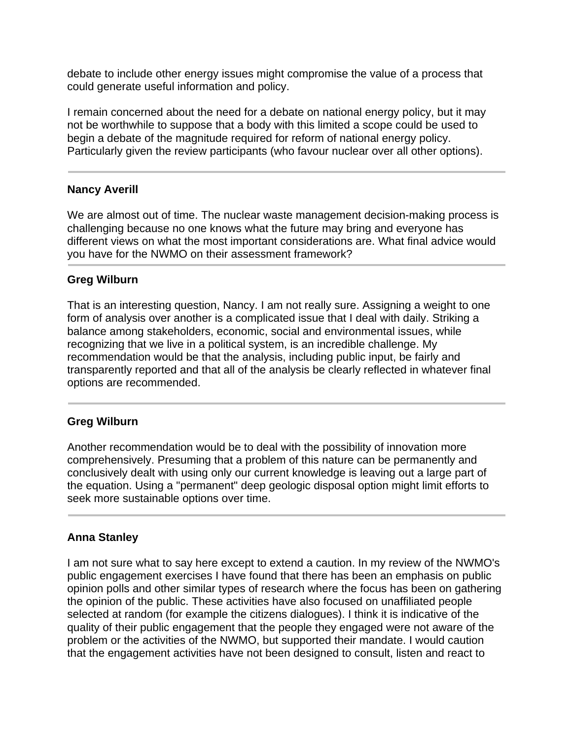debate to include other energy issues might compromise the value of a process that could generate useful information and policy.

I remain concerned about the need for a debate on national energy policy, but it may not be worthwhile to suppose that a body with this limited a scope could be used to begin a debate of the magnitude required for reform of national energy policy. Particularly given the review participants (who favour nuclear over all other options).

### **Nancy Averill**

We are almost out of time. The nuclear waste management decision-making process is challenging because no one knows what the future may bring and everyone has different views on what the most important considerations are. What final advice would you have for the NWMO on their assessment framework?

### **Greg Wilburn**

That is an interesting question, Nancy. I am not really sure. Assigning a weight to one form of analysis over another is a complicated issue that I deal with daily. Striking a balance among stakeholders, economic, social and environmental issues, while recognizing that we live in a political system, is an incredible challenge. My recommendation would be that the analysis, including public input, be fairly and transparently reported and that all of the analysis be clearly reflected in whatever final options are recommended.

#### **Greg Wilburn**

Another recommendation would be to deal with the possibility of innovation more comprehensively. Presuming that a problem of this nature can be permanently and conclusively dealt with using only our current knowledge is leaving out a large part of the equation. Using a "permanent" deep geologic disposal option might limit efforts to seek more sustainable options over time.

## **Anna Stanley**

I am not sure what to say here except to extend a caution. In my review of the NWMO's public engagement exercises I have found that there has been an emphasis on public opinion polls and other similar types of research where the focus has been on gathering the opinion of the public. These activities have also focused on unaffiliated people selected at random (for example the citizens dialogues). I think it is indicative of the quality of their public engagement that the people they engaged were not aware of the problem or the activities of the NWMO, but supported their mandate. I would caution that the engagement activities have not been designed to consult, listen and react to